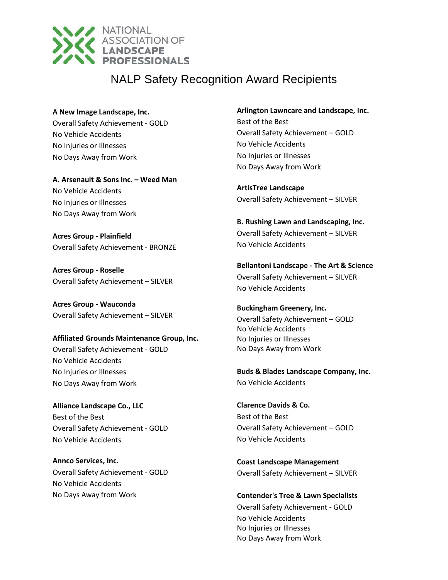

#### **A New Image Landscape, Inc.**

Overall Safety Achievement - GOLD No Vehicle Accidents No Injuries or Illnesses No Days Away from Work

**A. Arsenault & Sons Inc. – Weed Man** No Vehicle Accidents No Injuries or Illnesses No Days Away from Work

**Acres Group - Plainfield** Overall Safety Achievement - BRONZE

**Acres Group - Roselle** Overall Safety Achievement – SILVER

**Acres Group - Wauconda** Overall Safety Achievement – SILVER

**Affiliated Grounds Maintenance Group, Inc.** Overall Safety Achievement - GOLD No Vehicle Accidents No Injuries or Illnesses No Days Away from Work

**Alliance Landscape Co., LLC** Best of the Best Overall Safety Achievement - GOLD No Vehicle Accidents

**Annco Services, Inc.** Overall Safety Achievement - GOLD No Vehicle Accidents No Days Away from Work

### **Arlington Lawncare and Landscape, Inc.**

Best of the Best Overall Safety Achievement – GOLD No Vehicle Accidents No Injuries or Illnesses No Days Away from Work

**ArtisTree Landscape** Overall Safety Achievement – SILVER

**B. Rushing Lawn and Landscaping, Inc.** Overall Safety Achievement – SILVER No Vehicle Accidents

**Bellantoni Landscape - The Art & Science** Overall Safety Achievement – SILVER No Vehicle Accidents

## **Buckingham Greenery, Inc.** Overall Safety Achievement – GOLD No Vehicle Accidents No Injuries or Illnesses No Days Away from Work

**Buds & Blades Landscape Company, Inc.** No Vehicle Accidents

**Clarence Davids & Co.** Best of the Best Overall Safety Achievement – GOLD No Vehicle Accidents

**Coast Landscape Management** Overall Safety Achievement – SILVER

**Contender's Tree & Lawn Specialists** Overall Safety Achievement - GOLD No Vehicle Accidents No Injuries or Illnesses No Days Away from Work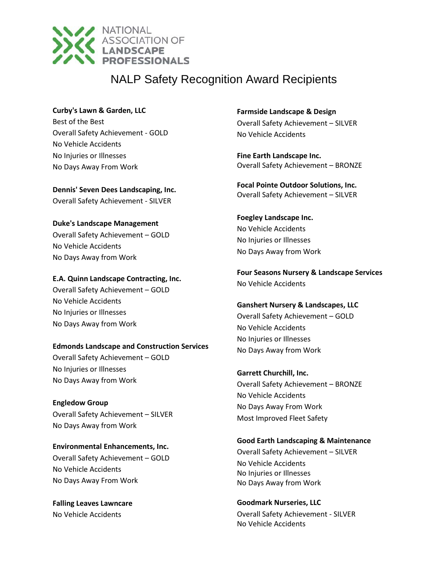

### **Curby's Lawn & Garden, LLC**

Best of the Best Overall Safety Achievement - GOLD No Vehicle Accidents No Injuries or Illnesses No Days Away From Work

**Dennis' Seven Dees Landscaping, Inc.** Overall Safety Achievement - SILVER

## **Duke's Landscape Management**

Overall Safety Achievement – GOLD No Vehicle Accidents No Days Away from Work

### **E.A. Quinn Landscape Contracting, Inc.**

Overall Safety Achievement – GOLD No Vehicle Accidents No Injuries or Illnesses No Days Away from Work

### **Edmonds Landscape and Construction Services**

Overall Safety Achievement – GOLD No Injuries or Illnesses No Days Away from Work

**Engledow Group** Overall Safety Achievement – SILVER No Days Away from Work

**Environmental Enhancements, Inc.** Overall Safety Achievement – GOLD No Vehicle Accidents No Days Away From Work

**Falling Leaves Lawncare** No Vehicle Accidents

**Farmside Landscape & Design** Overall Safety Achievement – SILVER No Vehicle Accidents

**Fine Earth Landscape Inc.** Overall Safety Achievement – BRONZE

**Focal Pointe Outdoor Solutions, Inc.** Overall Safety Achievement – SILVER

**Foegley Landscape Inc.** No Vehicle Accidents No Injuries or Illnesses No Days Away from Work

**Four Seasons Nursery & Landscape Services** No Vehicle Accidents

## **Ganshert Nursery & Landscapes, LLC** Overall Safety Achievement – GOLD

No Vehicle Accidents No Injuries or Illnesses No Days Away from Work

## **Garrett Churchill, Inc.**

Overall Safety Achievement – BRONZE No Vehicle Accidents No Days Away From Work Most Improved Fleet Safety

### **Good Earth Landscaping & Maintenance**

Overall Safety Achievement – SILVER No Vehicle Accidents No Injuries or Illnesses No Days Away from Work

**Goodmark Nurseries, LLC** Overall Safety Achievement - SILVER No Vehicle Accidents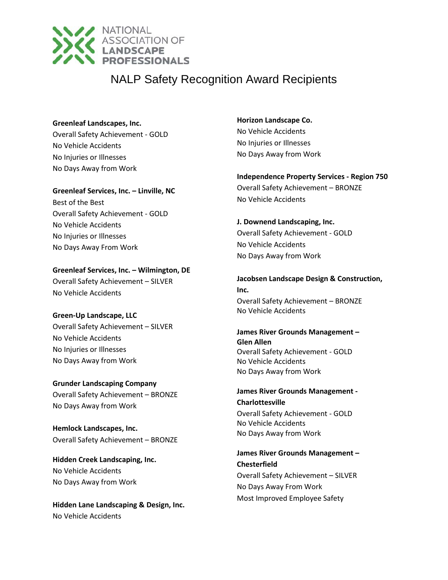

**Greenleaf Landscapes, Inc.**

Overall Safety Achievement - GOLD No Vehicle Accidents No Injuries or Illnesses No Days Away from Work

**Greenleaf Services, Inc. – Linville, NC** Best of the Best Overall Safety Achievement - GOLD No Vehicle Accidents No Injuries or Illnesses No Days Away From Work

## **Greenleaf Services, Inc. – Wilmington, DE**

Overall Safety Achievement – SILVER No Vehicle Accidents

## **Green-Up Landscape, LLC**

Overall Safety Achievement – SILVER No Vehicle Accidents No Injuries or Illnesses No Days Away from Work

**Grunder Landscaping Company** Overall Safety Achievement – BRONZE No Days Away from Work

**Hemlock Landscapes, Inc.** Overall Safety Achievement – BRONZE

**Hidden Creek Landscaping, Inc.** No Vehicle Accidents No Days Away from Work

**Hidden Lane Landscaping & Design, Inc.** No Vehicle Accidents

**Horizon Landscape Co.** No Vehicle Accidents No Injuries or Illnesses No Days Away from Work

**Independence Property Services - Region 750** Overall Safety Achievement – BRONZE No Vehicle Accidents

**J. Downend Landscaping, Inc.**

Overall Safety Achievement - GOLD No Vehicle Accidents No Days Away from Work

**Jacobsen Landscape Design & Construction, Inc.** Overall Safety Achievement – BRONZE No Vehicle Accidents

**James River Grounds Management – Glen Allen** Overall Safety Achievement - GOLD No Vehicle Accidents No Days Away from Work

**James River Grounds Management - Charlottesville** Overall Safety Achievement - GOLD No Vehicle Accidents No Days Away from Work

**James River Grounds Management – Chesterfield** Overall Safety Achievement – SILVER No Days Away From Work Most Improved Employee Safety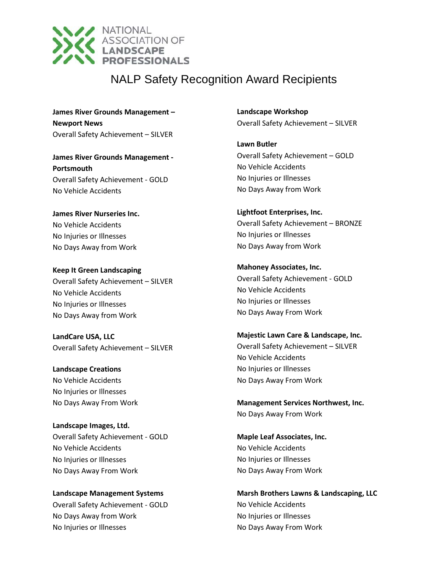

**James River Grounds Management – Newport News** Overall Safety Achievement – SILVER

**James River Grounds Management - Portsmouth** Overall Safety Achievement - GOLD No Vehicle Accidents

**James River Nurseries Inc.** No Vehicle Accidents No Injuries or Illnesses No Days Away from Work

**Keep It Green Landscaping** Overall Safety Achievement – SILVER No Vehicle Accidents No Injuries or Illnesses No Days Away from Work

**LandCare USA, LLC** Overall Safety Achievement – SILVER

**Landscape Creations** No Vehicle Accidents No Injuries or Illnesses No Days Away From Work

**Landscape Images, Ltd.** Overall Safety Achievement - GOLD No Vehicle Accidents No Injuries or Illnesses No Days Away From Work

**Landscape Management Systems** Overall Safety Achievement - GOLD No Days Away from Work No Injuries or Illnesses

**Landscape Workshop** Overall Safety Achievement – SILVER

**Lawn Butler** Overall Safety Achievement – GOLD No Vehicle Accidents No Injuries or Illnesses No Days Away from Work

**Lightfoot Enterprises, Inc.** Overall Safety Achievement – BRONZE No Injuries or Illnesses No Days Away from Work

**Mahoney Associates, Inc.** Overall Safety Achievement - GOLD No Vehicle Accidents No Injuries or Illnesses No Days Away From Work

**Majestic Lawn Care & Landscape, Inc.** Overall Safety Achievement – SILVER No Vehicle Accidents No Injuries or Illnesses No Days Away From Work

**Management Services Northwest, Inc.** No Days Away From Work

**Maple Leaf Associates, Inc.** No Vehicle Accidents No Injuries or Illnesses No Days Away From Work

**Marsh Brothers Lawns & Landscaping, LLC** No Vehicle Accidents No Injuries or Illnesses No Days Away From Work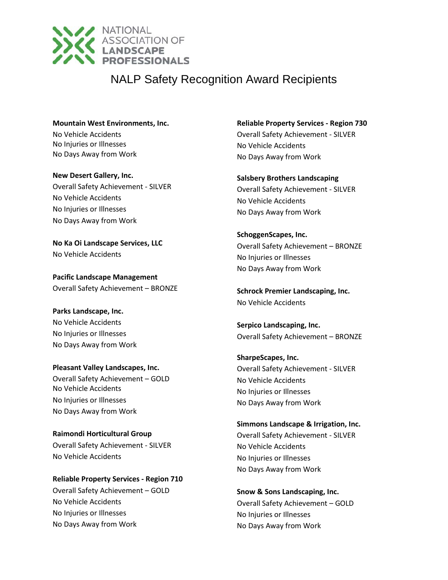

**Mountain West Environments, Inc.** No Vehicle Accidents No Injuries or Illnesses No Days Away from Work

**New Desert Gallery, Inc.** Overall Safety Achievement - SILVER No Vehicle Accidents No Injuries or Illnesses No Days Away from Work

**No Ka Oi Landscape Services, LLC** No Vehicle Accidents

**Pacific Landscape Management** Overall Safety Achievement – BRONZE

**Parks Landscape, Inc.** No Vehicle Accidents No Injuries or Illnesses No Days Away from Work

**Pleasant Valley Landscapes, Inc.** Overall Safety Achievement – GOLD No Vehicle Accidents No Injuries or Illnesses No Days Away from Work

**Raimondi Horticultural Group** Overall Safety Achievement - SILVER No Vehicle Accidents

**Reliable Property Services - Region 710** Overall Safety Achievement – GOLD No Vehicle Accidents No Injuries or Illnesses No Days Away from Work

**Reliable Property Services - Region 730** Overall Safety Achievement - SILVER No Vehicle Accidents No Days Away from Work

**Salsbery Brothers Landscaping** Overall Safety Achievement - SILVER No Vehicle Accidents No Days Away from Work

**SchoggenScapes, Inc.** Overall Safety Achievement – BRONZE No Injuries or Illnesses No Days Away from Work

**Schrock Premier Landscaping, Inc.** No Vehicle Accidents

**Serpico Landscaping, Inc.** Overall Safety Achievement – BRONZE

**SharpeScapes, Inc.** Overall Safety Achievement - SILVER No Vehicle Accidents No Injuries or Illnesses No Days Away from Work

**Simmons Landscape & Irrigation, Inc.** Overall Safety Achievement - SILVER No Vehicle Accidents No Injuries or Illnesses No Days Away from Work

**Snow & Sons Landscaping, Inc.** Overall Safety Achievement – GOLD No Injuries or Illnesses No Days Away from Work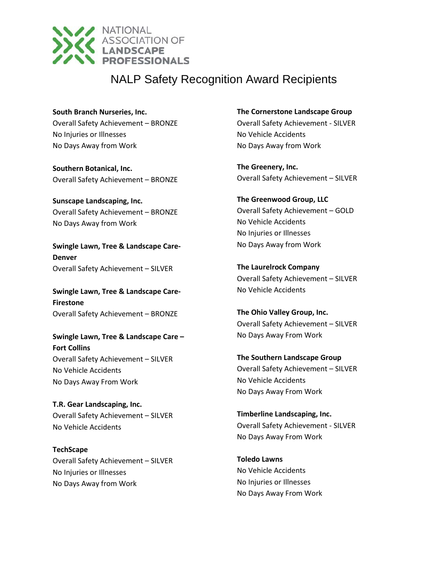

**South Branch Nurseries, Inc.** Overall Safety Achievement – BRONZE No Injuries or Illnesses No Days Away from Work

**Southern Botanical, Inc.** Overall Safety Achievement – BRONZE

**Sunscape Landscaping, Inc.** Overall Safety Achievement – BRONZE No Days Away from Work

**Swingle Lawn, Tree & Landscape Care-Denver** Overall Safety Achievement – SILVER

**Swingle Lawn, Tree & Landscape Care-Firestone** Overall Safety Achievement – BRONZE

**Swingle Lawn, Tree & Landscape Care – Fort Collins** Overall Safety Achievement – SILVER No Vehicle Accidents No Days Away From Work

**T.R. Gear Landscaping, Inc.** Overall Safety Achievement – SILVER No Vehicle Accidents

**TechScape** Overall Safety Achievement – SILVER No Injuries or Illnesses No Days Away from Work

**The Cornerstone Landscape Group**

Overall Safety Achievement - SILVER No Vehicle Accidents No Days Away from Work

**The Greenery, Inc.** Overall Safety Achievement – SILVER

**The Greenwood Group, LLC** Overall Safety Achievement – GOLD No Vehicle Accidents No Injuries or Illnesses No Days Away from Work

**The Laurelrock Company** Overall Safety Achievement – SILVER No Vehicle Accidents

**The Ohio Valley Group, Inc.** Overall Safety Achievement – SILVER No Days Away From Work

**The Southern Landscape Group** Overall Safety Achievement – SILVER No Vehicle Accidents No Days Away From Work

**Timberline Landscaping, Inc.** Overall Safety Achievement - SILVER No Days Away From Work

**Toledo Lawns** No Vehicle Accidents No Injuries or Illnesses No Days Away From Work